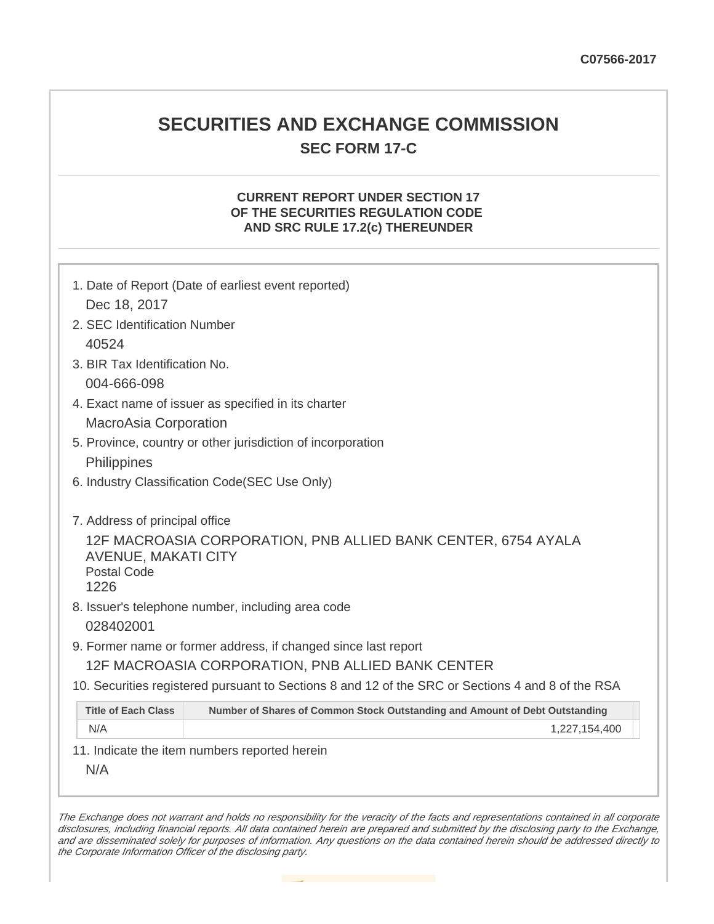## **SECURITIES AND EXCHANGE COMMISSION SEC FORM 17-C**

## **CURRENT REPORT UNDER SECTION 17 OF THE SECURITIES REGULATION CODE AND SRC RULE 17.2(c) THEREUNDER**

|                                                   | 1. Date of Report (Date of earliest event reported)                                               |
|---------------------------------------------------|---------------------------------------------------------------------------------------------------|
| Dec 18, 2017                                      |                                                                                                   |
| 2. SEC Identification Number                      |                                                                                                   |
| 40524                                             |                                                                                                   |
| 3. BIR Tax Identification No.                     |                                                                                                   |
| 004-666-098                                       |                                                                                                   |
|                                                   | 4. Exact name of issuer as specified in its charter                                               |
| <b>MacroAsia Corporation</b>                      |                                                                                                   |
|                                                   | 5. Province, country or other jurisdiction of incorporation                                       |
| Philippines                                       |                                                                                                   |
| 6. Industry Classification Code(SEC Use Only)     |                                                                                                   |
|                                                   |                                                                                                   |
| 7. Address of principal office                    |                                                                                                   |
| <b>AVENUE, MAKATI CITY</b><br>Postal Code<br>1226 | 12F MACROASIA CORPORATION, PNB ALLIED BANK CENTER, 6754 AYALA                                     |
|                                                   | 8. Issuer's telephone number, including area code                                                 |
| 028402001                                         |                                                                                                   |
|                                                   | 9. Former name or former address, if changed since last report                                    |
|                                                   | 12F MACROASIA CORPORATION, PNB ALLIED BANK CENTER                                                 |
|                                                   | 10. Securities registered pursuant to Sections 8 and 12 of the SRC or Sections 4 and 8 of the RSA |
| <b>Title of Each Class</b>                        | Number of Shares of Common Stock Outstanding and Amount of Debt Outstanding                       |
| N/A                                               | 1,227,154,400                                                                                     |
|                                                   | 11. Indicate the item numbers reported herein                                                     |
| N/A                                               |                                                                                                   |
|                                                   |                                                                                                   |

The Exchange does not warrant and holds no responsibility for the veracity of the facts and representations contained in all corporate disclosures, including financial reports. All data contained herein are prepared and submitted by the disclosing party to the Exchange, and are disseminated solely for purposes of information. Any questions on the data contained herein should be addressed directly to the Corporate Information Officer of the disclosing party.

**Contract**